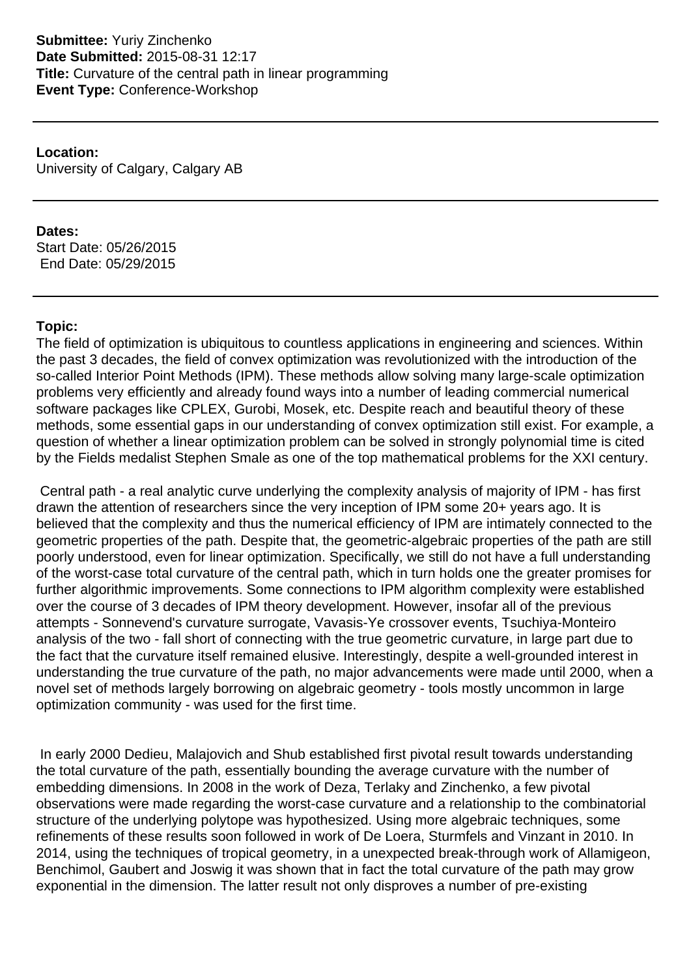**Location:** University of Calgary, Calgary AB

## **Dates:**

Start Date: 05/26/2015 End Date: 05/29/2015

# **Topic:**

The field of optimization is ubiquitous to countless applications in engineering and sciences. Within the past 3 decades, the field of convex optimization was revolutionized with the introduction of the so-called Interior Point Methods (IPM). These methods allow solving many large-scale optimization problems very efficiently and already found ways into a number of leading commercial numerical software packages like CPLEX, Gurobi, Mosek, etc. Despite reach and beautiful theory of these methods, some essential gaps in our understanding of convex optimization still exist. For example, a question of whether a linear optimization problem can be solved in strongly polynomial time is cited by the Fields medalist Stephen Smale as one of the top mathematical problems for the XXI century.

 Central path - a real analytic curve underlying the complexity analysis of majority of IPM - has first drawn the attention of researchers since the very inception of IPM some 20+ years ago. It is believed that the complexity and thus the numerical efficiency of IPM are intimately connected to the geometric properties of the path. Despite that, the geometric-algebraic properties of the path are still poorly understood, even for linear optimization. Specifically, we still do not have a full understanding of the worst-case total curvature of the central path, which in turn holds one the greater promises for further algorithmic improvements. Some connections to IPM algorithm complexity were established over the course of 3 decades of IPM theory development. However, insofar all of the previous attempts - Sonnevend's curvature surrogate, Vavasis-Ye crossover events, Tsuchiya-Monteiro analysis of the two - fall short of connecting with the true geometric curvature, in large part due to the fact that the curvature itself remained elusive. Interestingly, despite a well-grounded interest in understanding the true curvature of the path, no major advancements were made until 2000, when a novel set of methods largely borrowing on algebraic geometry - tools mostly uncommon in large optimization community - was used for the first time.

 In early 2000 Dedieu, Malajovich and Shub established first pivotal result towards understanding the total curvature of the path, essentially bounding the average curvature with the number of embedding dimensions. In 2008 in the work of Deza, Terlaky and Zinchenko, a few pivotal observations were made regarding the worst-case curvature and a relationship to the combinatorial structure of the underlying polytope was hypothesized. Using more algebraic techniques, some refinements of these results soon followed in work of De Loera, Sturmfels and Vinzant in 2010. In 2014, using the techniques of tropical geometry, in a unexpected break-through work of Allamigeon, Benchimol, Gaubert and Joswig it was shown that in fact the total curvature of the path may grow exponential in the dimension. The latter result not only disproves a number of pre-existing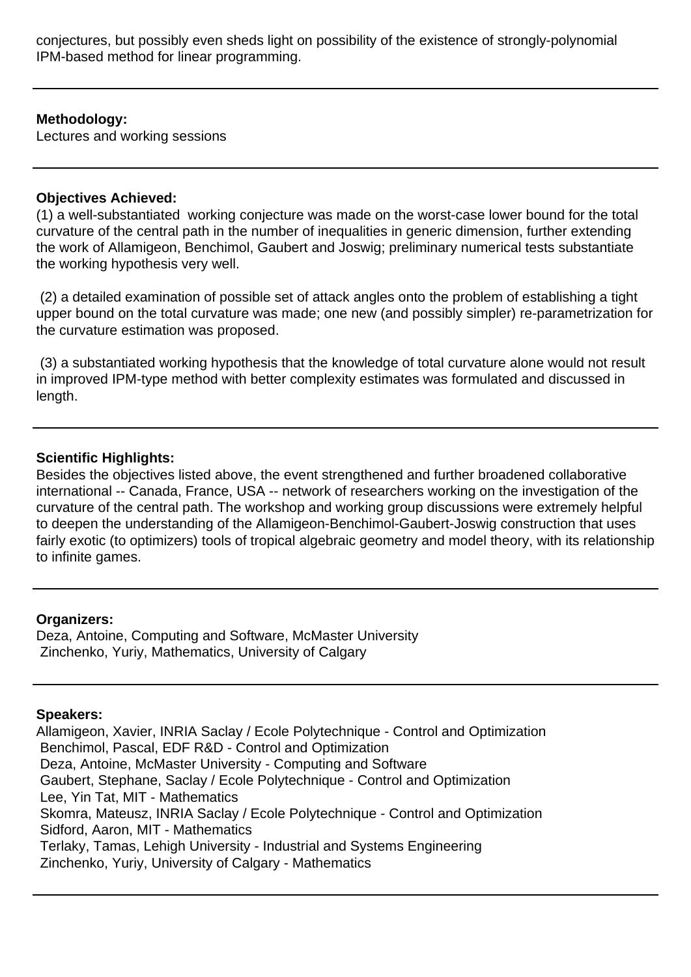conjectures, but possibly even sheds light on possibility of the existence of strongly-polynomial IPM-based method for linear programming.

#### **Methodology:**

Lectures and working sessions

#### **Objectives Achieved:**

(1) a well-substantiated working conjecture was made on the worst-case lower bound for the total curvature of the central path in the number of inequalities in generic dimension, further extending the work of Allamigeon, Benchimol, Gaubert and Joswig; preliminary numerical tests substantiate the working hypothesis very well.

 (2) a detailed examination of possible set of attack angles onto the problem of establishing a tight upper bound on the total curvature was made; one new (and possibly simpler) re-parametrization for the curvature estimation was proposed.

 (3) a substantiated working hypothesis that the knowledge of total curvature alone would not result in improved IPM-type method with better complexity estimates was formulated and discussed in length.

### **Scientific Highlights:**

Besides the objectives listed above, the event strengthened and further broadened collaborative international -- Canada, France, USA -- network of researchers working on the investigation of the curvature of the central path. The workshop and working group discussions were extremely helpful to deepen the understanding of the Allamigeon-Benchimol-Gaubert-Joswig construction that uses fairly exotic (to optimizers) tools of tropical algebraic geometry and model theory, with its relationship to infinite games.

#### **Organizers:**

Deza, Antoine, Computing and Software, McMaster University Zinchenko, Yuriy, Mathematics, University of Calgary

# **Speakers:**

Allamigeon, Xavier, INRIA Saclay / Ecole Polytechnique - Control and Optimization Benchimol, Pascal, EDF R&D - Control and Optimization Deza, Antoine, McMaster University - Computing and Software Gaubert, Stephane, Saclay / Ecole Polytechnique - Control and Optimization Lee, Yin Tat, MIT - Mathematics Skomra, Mateusz, INRIA Saclay / Ecole Polytechnique - Control and Optimization Sidford, Aaron, MIT - Mathematics Terlaky, Tamas, Lehigh University - Industrial and Systems Engineering Zinchenko, Yuriy, University of Calgary - Mathematics